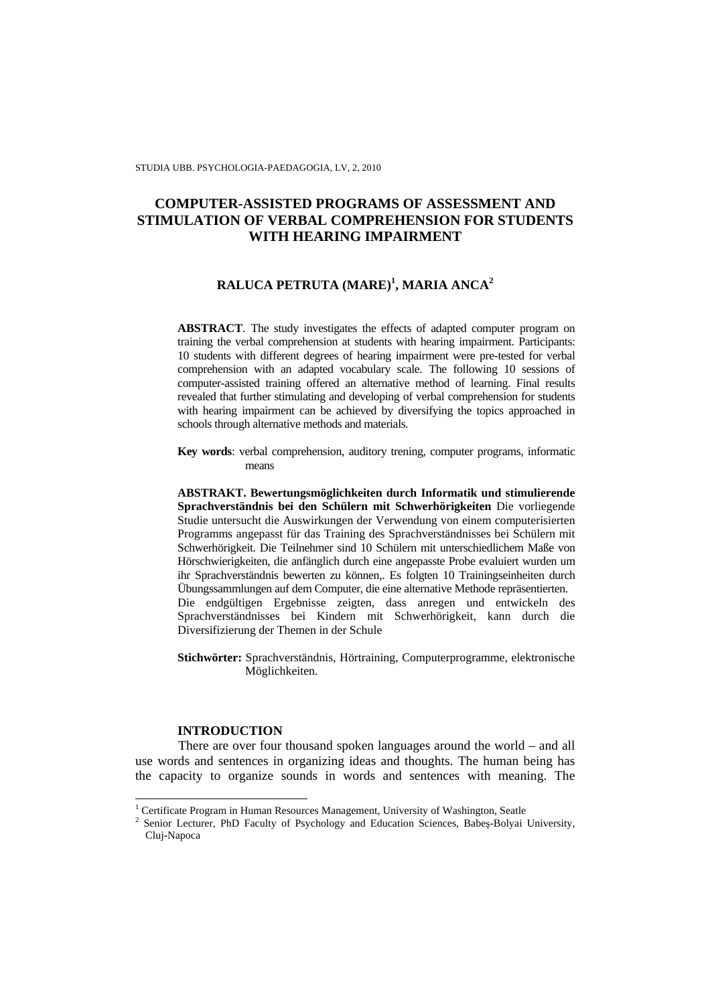# **COMPUTER-ASSISTED PROGRAMS OF ASSESSMENT AND STIMULATION OF VERBAL COMPREHENSION FOR STUDENTS WITH HEARING IMPAIRMENT**

# **RALUCA PETRUTA (MARE)<sup>1</sup> , MARIA ANCA<sup>2</sup>**

**ABSTRACT**. The study investigates the effects of adapted computer program on training the verbal comprehension at students with hearing impairment. Participants: 10 students with different degrees of hearing impairment were pre-tested for verbal comprehension with an adapted vocabulary scale. The following 10 sessions of computer-assisted training offered an alternative method of learning. Final results revealed that further stimulating and developing of verbal comprehension for students with hearing impairment can be achieved by diversifying the topics approached in schools through alternative methods and materials*.* 

**Key words**: verbal comprehension, auditory trening, computer programs, informatic means

**ABSTRAKT. Bewertungsmöglichkeiten durch Informatik und stimulierende Sprachverständnis bei den Schülern mit Schwerhörigkeiten** Die vorliegende Studie untersucht die Auswirkungen der Verwendung von einem computerisierten Programms angepasst für das Training des Sprachverständnisses bei Schülern mit Schwerhörigkeit. Die Teilnehmer sind 10 Schülern mit unterschiedlichem Maße von Hörschwierigkeiten, die anfänglich durch eine angepasste Probe evaluiert wurden um ihr Sprachverständnis bewerten zu können,. Es folgten 10 Trainingseinheiten durch Übungssammlungen auf dem Computer, die eine alternative Methode repräsentierten. Die endgültigen Ergebnisse zeigten, dass anregen und entwickeln des Sprachverständnisses bei Kindern mit Schwerhörigkeit, kann durch die Diversifizierung der Themen in der Schule

**Stichwörter:** Sprachverständnis, Hörtraining, Computerprogramme, elektronische Möglichkeiten.

## **INTRODUCTION**

l

There are over four thousand spoken languages around the world – and all use words and sentences in organizing ideas and thoughts. The human being has the capacity to organize sounds in words and sentences with meaning. The

<sup>&</sup>lt;sup>1</sup> Certificate Program in Human Resources Management, University of Washington, Seatle

<sup>2</sup> Senior Lecturer, PhD Faculty of Psychology and Education Sciences, Babeş-Bolyai University, Cluj-Napoca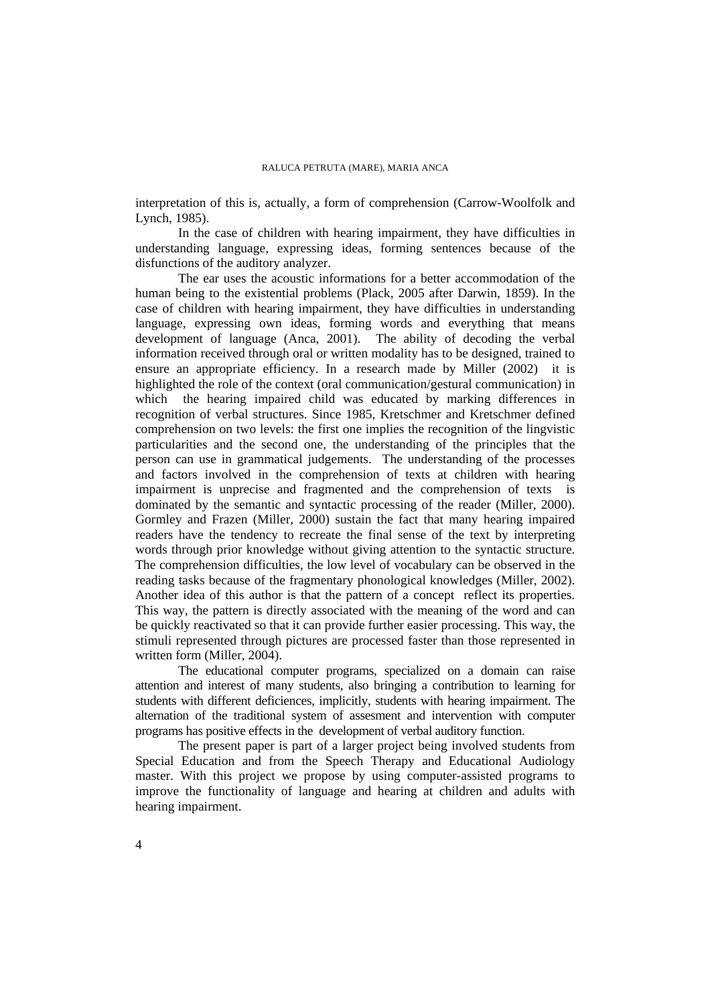interpretation of this is, actually, a form of comprehension (Carrow-Woolfolk and Lynch, 1985).

In the case of children with hearing impairment, they have difficulties in understanding language, expressing ideas, forming sentences because of the disfunctions of the auditory analyzer.

The ear uses the acoustic informations for a better accommodation of the human being to the existential problems (Plack, 2005 after Darwin, 1859). In the case of children with hearing impairment, they have difficulties in understanding language, expressing own ideas, forming words and everything that means development of language (Anca, 2001). The ability of decoding the verbal information received through oral or written modality has to be designed, trained to ensure an appropriate efficiency. In a research made by Miller (2002) it is highlighted the role of the context (oral communication/gestural communication) in which the hearing impaired child was educated by marking differences in recognition of verbal structures. Since 1985, Kretschmer and Kretschmer defined comprehension on two levels: the first one implies the recognition of the lingvistic particularities and the second one, the understanding of the principles that the person can use in grammatical judgements. The understanding of the processes and factors involved in the comprehension of texts at children with hearing impairment is unprecise and fragmented and the comprehension of texts is dominated by the semantic and syntactic processing of the reader (Miller, 2000). Gormley and Frazen (Miller, 2000) sustain the fact that many hearing impaired readers have the tendency to recreate the final sense of the text by interpreting words through prior knowledge without giving attention to the syntactic structure. The comprehension difficulties, the low level of vocabulary can be observed in the reading tasks because of the fragmentary phonological knowledges (Miller, 2002). Another idea of this author is that the pattern of a concept reflect its properties. This way, the pattern is directly associated with the meaning of the word and can be quickly reactivated so that it can provide further easier processing. This way, the stimuli represented through pictures are processed faster than those represented in written form (Miller, 2004).

The educational computer programs, specialized on a domain can raise attention and interest of many students, also bringing a contribution to learning for students with different deficiences, implicitly, students with hearing impairment. The alternation of the traditional system of assesment and intervention with computer programs has positive effects in the development of verbal auditory function.

The present paper is part of a larger project being involved students from Special Education and from the Speech Therapy and Educational Audiology master. With this project we propose by using computer-assisted programs to improve the functionality of language and hearing at children and adults with hearing impairment.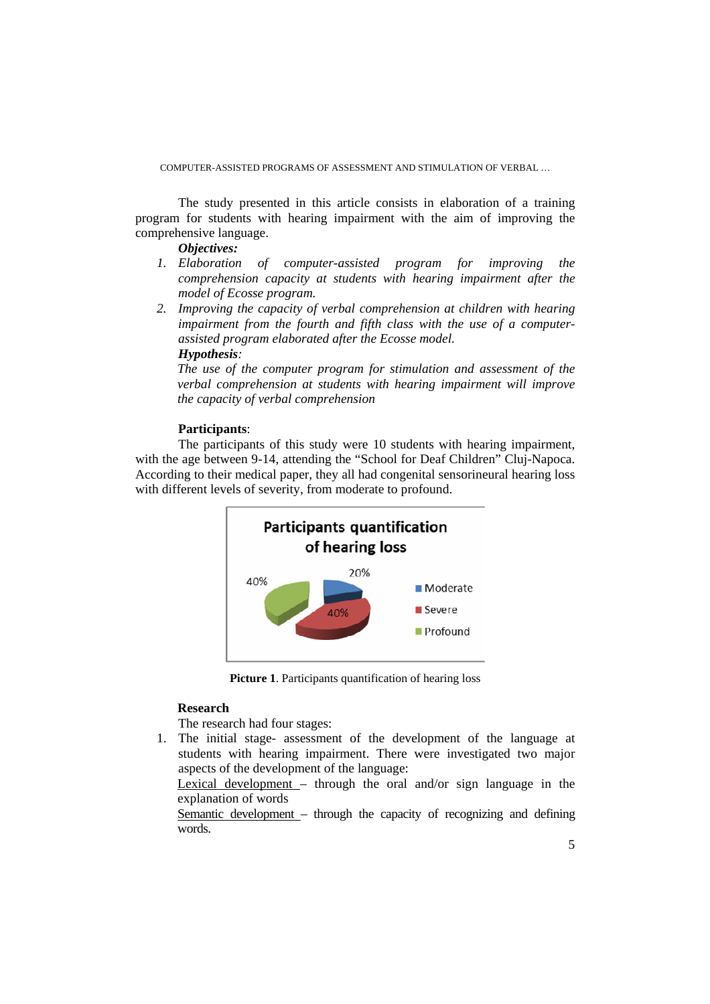The study presented in this article consists in elaboration of a training program for students with hearing impairment with the aim of improving the comprehensive language.

*Objectives:* 

- *1. Elaboration of computer-assisted program for improving the comprehension capacity at students with hearing impairment after the model of Ecosse program.*
- *2. Improving the capacity of verbal comprehension at children with hearing impairment from the fourth and fifth class with the use of a computerassisted program elaborated after the Ecosse model. Hypothesis:*

*The use of the computer program for stimulation and assessment of the verbal comprehension at students with hearing impairment will improve the capacity of verbal comprehension* 

## **Participants**:

The participants of this study were 10 students with hearing impairment, with the age between 9-14, attending the "School for Deaf Children" Cluj-Napoca. According to their medical paper, they all had congenital sensorineural hearing loss with different levels of severity, from moderate to profound.



**Picture 1**. Participants quantification of hearing loss

## **Research**

The research had four stages:

1. The initial stage- assessment of the development of the language at students with hearing impairment. There were investigated two major aspects of the development of the language:

Lexical development – through the oral and/or sign language in the explanation of words

Semantic development – through the capacity of recognizing and defining words.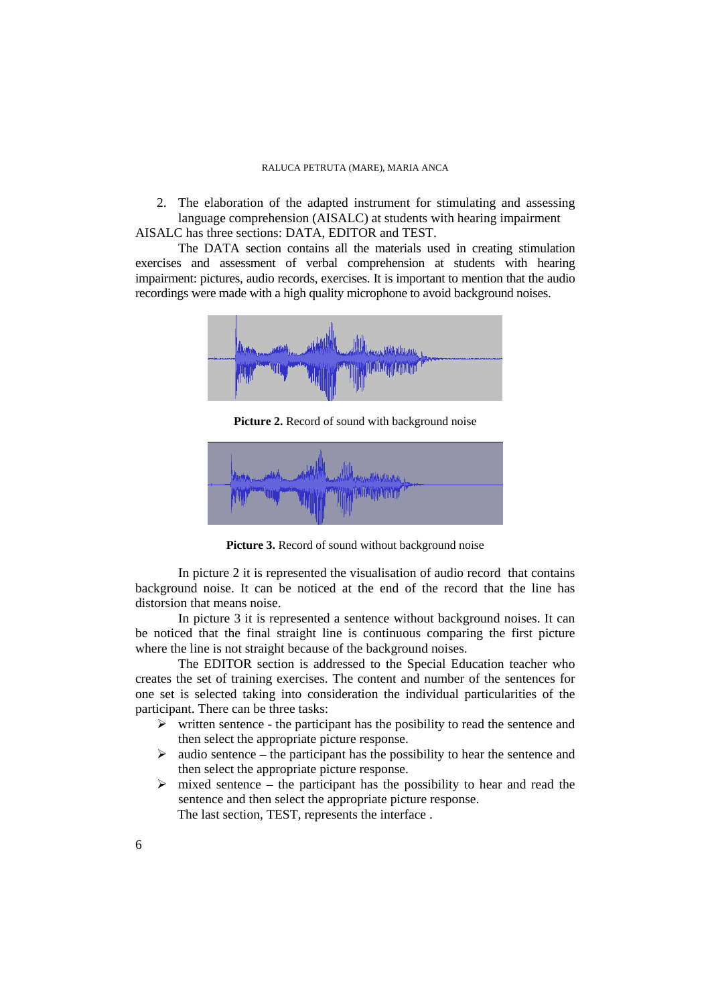2. The elaboration of the adapted instrument for stimulating and assessing language comprehension (AISALC) at students with hearing impairment AISALC has three sections: DATA, EDITOR and TEST.

The DATA section contains all the materials used in creating stimulation exercises and assessment of verbal comprehension at students with hearing impairment: pictures, audio records, exercises. It is important to mention that the audio recordings were made with a high quality microphone to avoid background noises.



Picture 2. Record of sound with background noise



Picture 3. Record of sound without background noise

In picture 2 it is represented the visualisation of audio record that contains background noise. It can be noticed at the end of the record that the line has distorsion that means noise.

In picture 3 it is represented a sentence without background noises. It can be noticed that the final straight line is continuous comparing the first picture where the line is not straight because of the background noises.

The EDITOR section is addressed to the Special Education teacher who creates the set of training exercises. The content and number of the sentences for one set is selected taking into consideration the individual particularities of the participant. There can be three tasks:

- $\triangleright$  written sentence the participant has the posibility to read the sentence and then select the appropriate picture response.
- $\triangleright$  audio sentence the participant has the possibility to hear the sentence and then select the appropriate picture response.
- $\triangleright$  mixed sentence the participant has the possibility to hear and read the sentence and then select the appropriate picture response. The last section, TEST, represents the interface .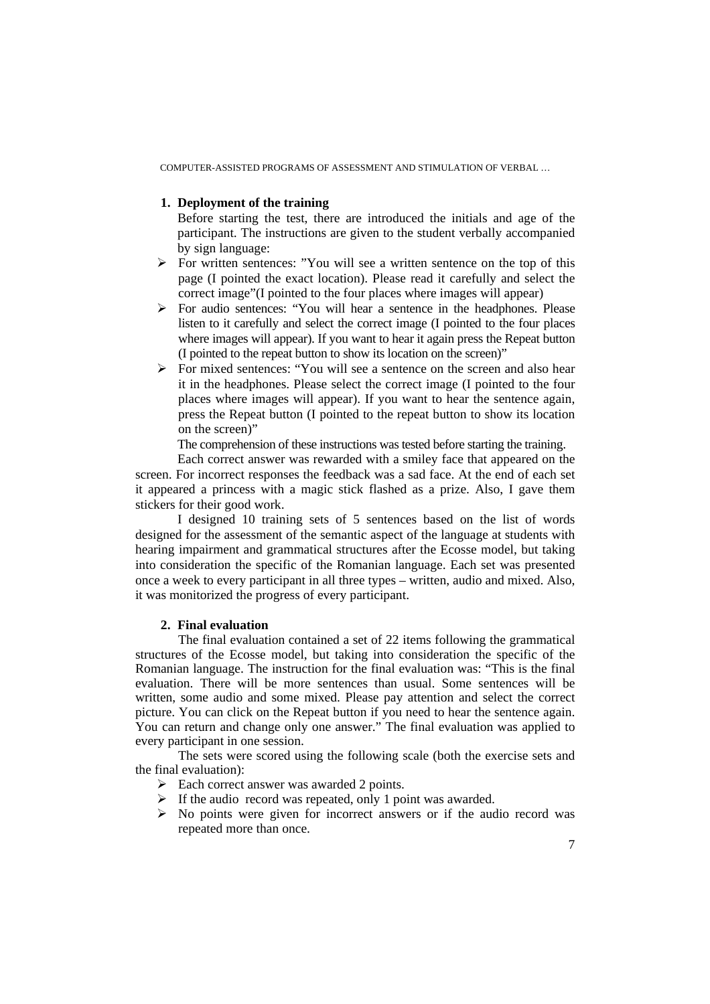# **1. Deployment of the training**

Before starting the test, there are introduced the initials and age of the participant. The instructions are given to the student verbally accompanied by sign language:

- $\triangleright$  For written sentences: "You will see a written sentence on the top of this page (I pointed the exact location). Please read it carefully and select the correct image"(I pointed to the four places where images will appear)
- For audio sentences: "You will hear a sentence in the headphones. Please listen to it carefully and select the correct image (I pointed to the four places where images will appear). If you want to hear it again press the Repeat button (I pointed to the repeat button to show its location on the screen)"
- For mixed sentences: "You will see a sentence on the screen and also hear it in the headphones. Please select the correct image (I pointed to the four places where images will appear). If you want to hear the sentence again, press the Repeat button (I pointed to the repeat button to show its location on the screen)"

The comprehension of these instructions was tested before starting the training.

Each correct answer was rewarded with a smiley face that appeared on the screen. For incorrect responses the feedback was a sad face. At the end of each set it appeared a princess with a magic stick flashed as a prize. Also, I gave them stickers for their good work.

I designed 10 training sets of 5 sentences based on the list of words designed for the assessment of the semantic aspect of the language at students with hearing impairment and grammatical structures after the Ecosse model, but taking into consideration the specific of the Romanian language. Each set was presented once a week to every participant in all three types – written, audio and mixed. Also, it was monitorized the progress of every participant.

# **2. Final evaluation**

The final evaluation contained a set of 22 items following the grammatical structures of the Ecosse model, but taking into consideration the specific of the Romanian language. The instruction for the final evaluation was: "This is the final evaluation. There will be more sentences than usual. Some sentences will be written, some audio and some mixed. Please pay attention and select the correct picture. You can click on the Repeat button if you need to hear the sentence again. You can return and change only one answer." The final evaluation was applied to every participant in one session.

The sets were scored using the following scale (both the exercise sets and the final evaluation):

- $\triangleright$  Each correct answer was awarded 2 points.
- $\triangleright$  If the audio record was repeated, only 1 point was awarded.
- $\triangleright$  No points were given for incorrect answers or if the audio record was repeated more than once.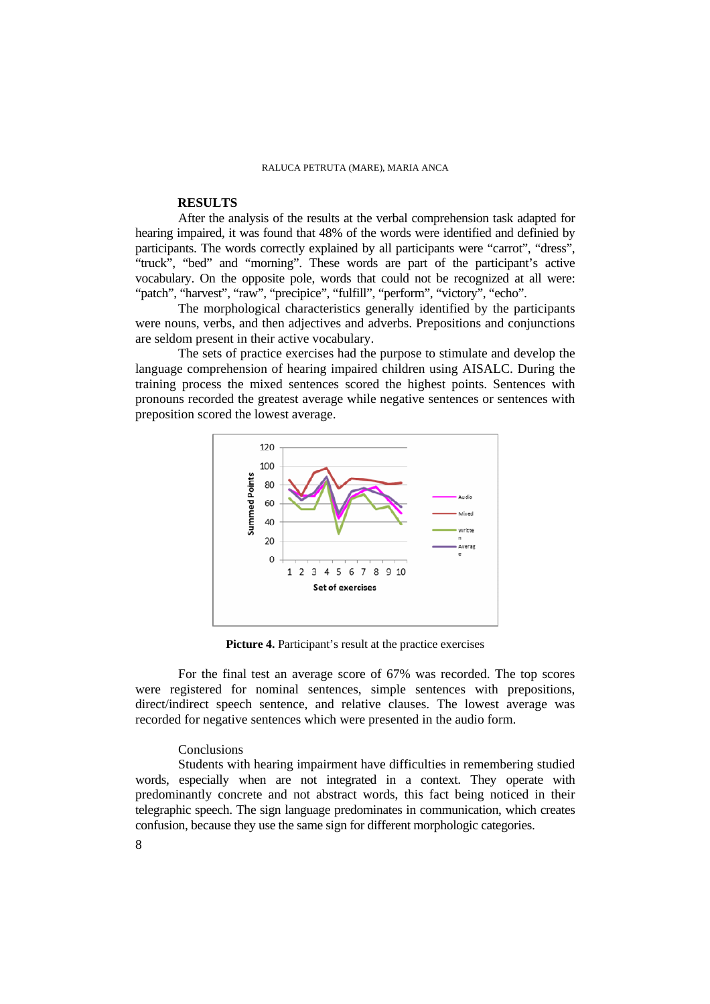# **RESULTS**

After the analysis of the results at the verbal comprehension task adapted for hearing impaired, it was found that 48% of the words were identified and definied by participants. The words correctly explained by all participants were "carrot", "dress", "truck", "bed" and "morning". These words are part of the participant's active vocabulary. On the opposite pole, words that could not be recognized at all were: "patch", "harvest", "raw", "precipice", "fulfill", "perform", "victory", "echo".

The morphological characteristics generally identified by the participants were nouns, verbs, and then adjectives and adverbs. Prepositions and conjunctions are seldom present in their active vocabulary.

 The sets of practice exercises had the purpose to stimulate and develop the language comprehension of hearing impaired children using AISALC. During the training process the mixed sentences scored the highest points. Sentences with pronouns recorded the greatest average while negative sentences or sentences with preposition scored the lowest average.



Picture 4. Participant's result at the practice exercises

For the final test an average score of 67% was recorded. The top scores were registered for nominal sentences, simple sentences with prepositions, direct/indirect speech sentence, and relative clauses. The lowest average was recorded for negative sentences which were presented in the audio form.

## Conclusions

 Students with hearing impairment have difficulties in remembering studied words, especially when are not integrated in a context. They operate with predominantly concrete and not abstract words, this fact being noticed in their telegraphic speech. The sign language predominates in communication, which creates confusion, because they use the same sign for different morphologic categories.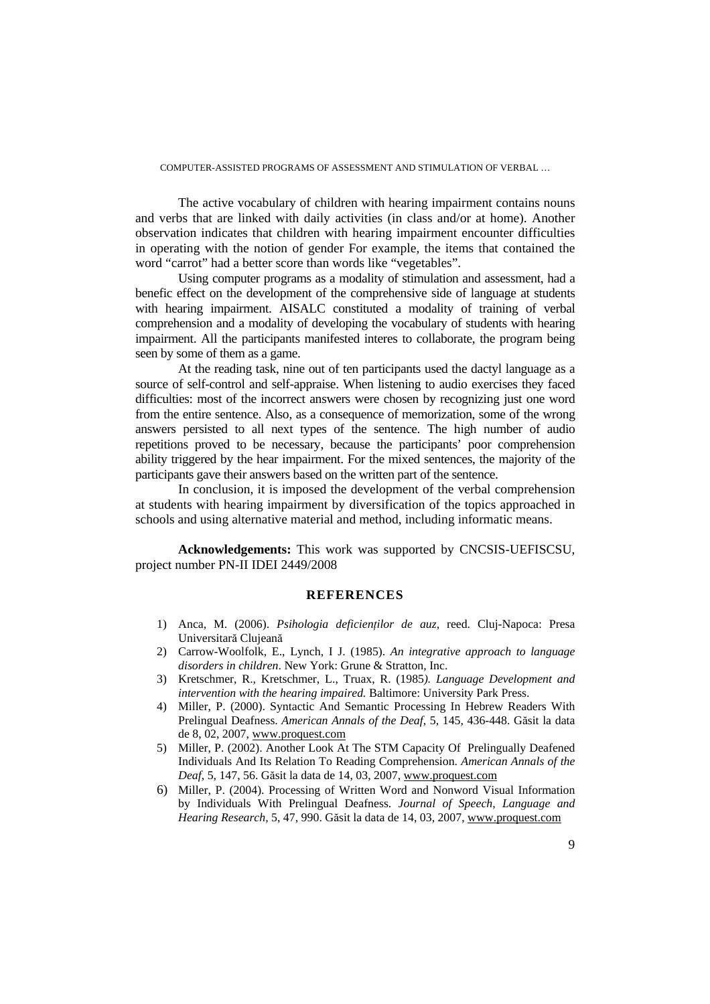The active vocabulary of children with hearing impairment contains nouns and verbs that are linked with daily activities (in class and/or at home). Another observation indicates that children with hearing impairment encounter difficulties in operating with the notion of gender For example, the items that contained the word "carrot" had a better score than words like "vegetables".

Using computer programs as a modality of stimulation and assessment, had a benefic effect on the development of the comprehensive side of language at students with hearing impairment. AISALC constituted a modality of training of verbal comprehension and a modality of developing the vocabulary of students with hearing impairment. All the participants manifested interes to collaborate, the program being seen by some of them as a game.

At the reading task, nine out of ten participants used the dactyl language as a source of self-control and self-appraise. When listening to audio exercises they faced difficulties: most of the incorrect answers were chosen by recognizing just one word from the entire sentence. Also, as a consequence of memorization, some of the wrong answers persisted to all next types of the sentence. The high number of audio repetitions proved to be necessary, because the participants' poor comprehension ability triggered by the hear impairment. For the mixed sentences, the majority of the participants gave their answers based on the written part of the sentence.

In conclusion, it is imposed the development of the verbal comprehension at students with hearing impairment by diversification of the topics approached in schools and using alternative material and method, including informatic means.

**Acknowledgements:** This work was supported by CNCSIS-UEFISCSU, project number PN-II IDEI 2449/2008

### **REFERENCES**

- 1) Anca, M. (2006). *Psihologia deficienților de auz*, reed. Cluj-Napoca: Presa Universitară Clujeană
- 2) Carrow-Woolfolk, E., Lynch, I J. (1985). *An integrative approach to language disorders in children*. New York: Grune & Stratton, Inc.
- 3) Kretschmer, R., Kretschmer, L., Truax, R. (1985*). Language Development and intervention with the hearing impaired.* Baltimore: University Park Press.
- 4) Miller, P. (2000). Syntactic And Semantic Processing In Hebrew Readers With Prelingual Deafness. *American Annals of the Deaf*, 5, 145, 436-448. Găsit la data de 8, 02, 2007, www.proquest.com
- 5) Miller, P. (2002). Another Look At The STM Capacity Of Prelingually Deafened Individuals And Its Relation To Reading Comprehension. *American Annals of the Deaf*, 5, 147, 56. Găsit la data de 14, 03, 2007, www.proquest.com
- 6) Miller, P. (2004). Processing of Written Word and Nonword Visual Information by Individuals With Prelingual Deafness. *Journal of Speech, Language and Hearing Research,* 5, 47, 990. Găsit la data de 14, 03, 2007, www.proquest.com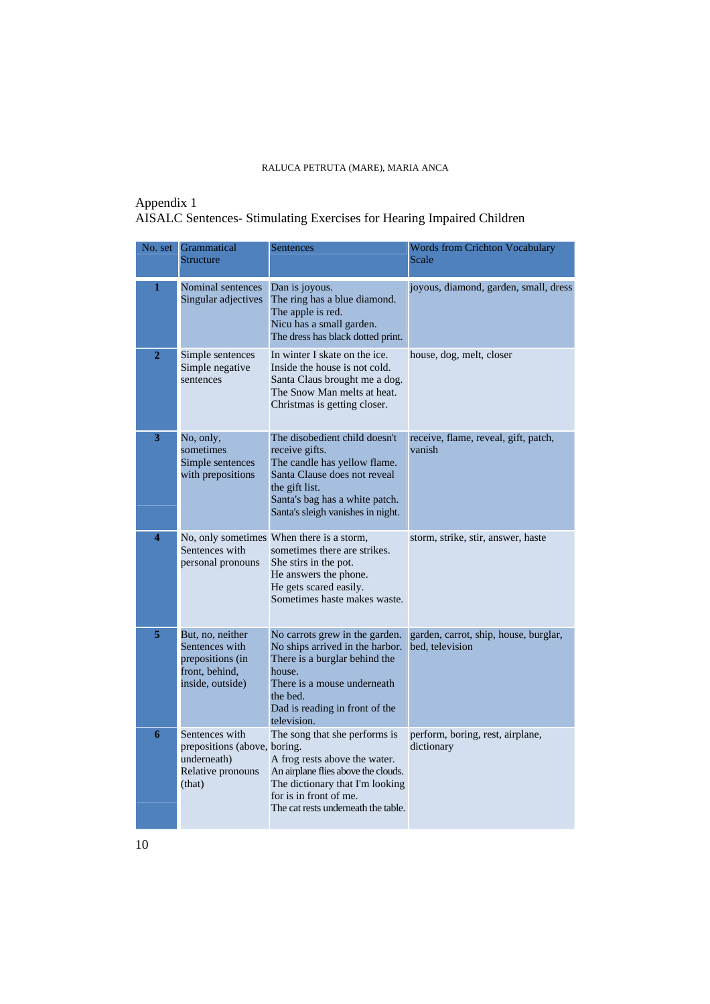# Appendix 1 AISALC Sentences- Stimulating Exercises for Hearing Impaired Children

|                | No. set Grammatical<br><b>Structure</b>                                                      | <b>Sentences</b>                                                                                                                                                                                          | <b>Words from Crichton Vocabulary</b><br>Scale           |
|----------------|----------------------------------------------------------------------------------------------|-----------------------------------------------------------------------------------------------------------------------------------------------------------------------------------------------------------|----------------------------------------------------------|
| 1              | Nominal sentences<br>Singular adjectives                                                     | Dan is joyous.<br>The ring has a blue diamond.<br>The apple is red.<br>Nicu has a small garden.<br>The dress has black dotted print.                                                                      | joyous, diamond, garden, small, dress                    |
| $\overline{2}$ | Simple sentences<br>Simple negative<br>sentences                                             | In winter I skate on the ice.<br>Inside the house is not cold.<br>Santa Claus brought me a dog.<br>The Snow Man melts at heat.<br>Christmas is getting closer.                                            | house, dog, melt, closer                                 |
| 3              | No, only,<br>sometimes<br>Simple sentences<br>with prepositions                              | The disobedient child doesn't<br>receive gifts.<br>The candle has yellow flame.<br>Santa Clause does not reveal<br>the gift list.<br>Santa's bag has a white patch.<br>Santa's sleigh vanishes in night.  | receive, flame, reveal, gift, patch,<br>vanish           |
| 4              | Sentences with<br>personal pronouns                                                          | No, only sometimes When there is a storm,<br>sometimes there are strikes.<br>She stirs in the pot.<br>He answers the phone.<br>He gets scared easily.<br>Sometimes haste makes waste.                     | storm, strike, stir, answer, haste                       |
| 5              | But, no, neither<br>Sentences with<br>prepositions (in<br>front, behind,<br>inside, outside) | No carrots grew in the garden.<br>No ships arrived in the harbor.<br>There is a burglar behind the<br>house.<br>There is a mouse underneath.<br>the bed.<br>Dad is reading in front of the<br>television. | garden, carrot, ship, house, burglar,<br>bed, television |
| 6              | Sentences with<br>prepositions (above, boring.<br>underneath)<br>Relative pronouns<br>(that) | The song that she performs is<br>A frog rests above the water.<br>An airplane flies above the clouds.<br>The dictionary that I'm looking<br>for is in front of me.<br>The cat rests underneath the table. | perform, boring, rest, airplane,<br>dictionary           |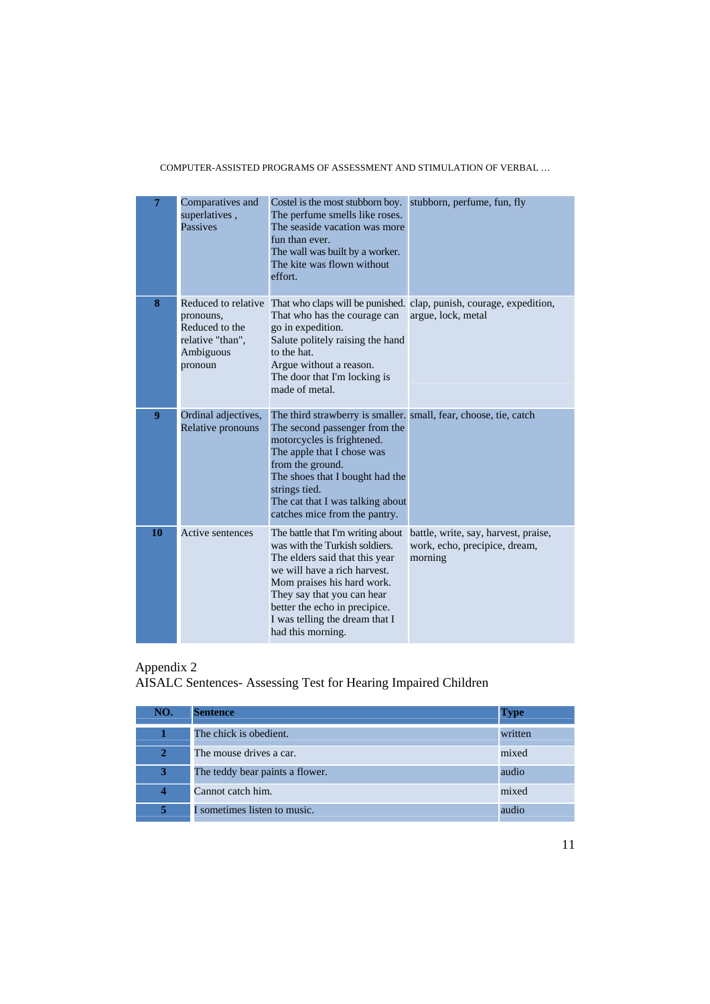| $\overline{7}$ | Comparatives and<br>superlatives,<br>Passives                           | Costel is the most stubborn boy. stubborn, perfume, fun, fly<br>The perfume smells like roses.<br>The seaside vacation was more<br>fun than ever.<br>The wall was built by a worker.<br>The kite was flown without<br>effort.                                                                              |                                                                                                               |
|----------------|-------------------------------------------------------------------------|------------------------------------------------------------------------------------------------------------------------------------------------------------------------------------------------------------------------------------------------------------------------------------------------------------|---------------------------------------------------------------------------------------------------------------|
| 8              | pronouns,<br>Reduced to the<br>relative "than",<br>Ambiguous<br>pronoun | That who has the courage can<br>go in expedition.<br>Salute politely raising the hand<br>to the hat.<br>Argue without a reason.<br>The door that I'm locking is<br>made of metal.                                                                                                                          | Reduced to relative That who claps will be punished. clap, punish, courage, expedition,<br>argue, lock, metal |
| 9              | Ordinal adjectives,<br>Relative pronouns                                | The third strawberry is smaller. small, fear, choose, tie, catch<br>The second passenger from the<br>motorcycles is frightened.<br>The apple that I chose was<br>from the ground.<br>The shoes that I bought had the<br>strings tied.<br>The cat that I was talking about<br>catches mice from the pantry. |                                                                                                               |
| 10             | Active sentences                                                        | The battle that I'm writing about<br>was with the Turkish soldiers.<br>The elders said that this year<br>we will have a rich harvest.<br>Mom praises his hard work.<br>They say that you can hear<br>better the echo in precipice.<br>I was telling the dream that I<br>had this morning.                  | battle, write, say, harvest, praise,<br>work, echo, precipice, dream,<br>morning                              |

## Appendix 2

#### AISALC Sentences- Assessing Test for Hearing Impaired Children

| NO.                     | <b>Sentence</b>                 | <b>Type</b> |
|-------------------------|---------------------------------|-------------|
|                         | The chick is obedient.          | written     |
| $\mathbf{2}$            | The mouse drives a car.         | mixed       |
| 3                       | The teddy bear paints a flower. | audio       |
| $\overline{\mathbf{4}}$ | Cannot catch him.               | mixed       |
| 5                       | I sometimes listen to music.    | audio       |